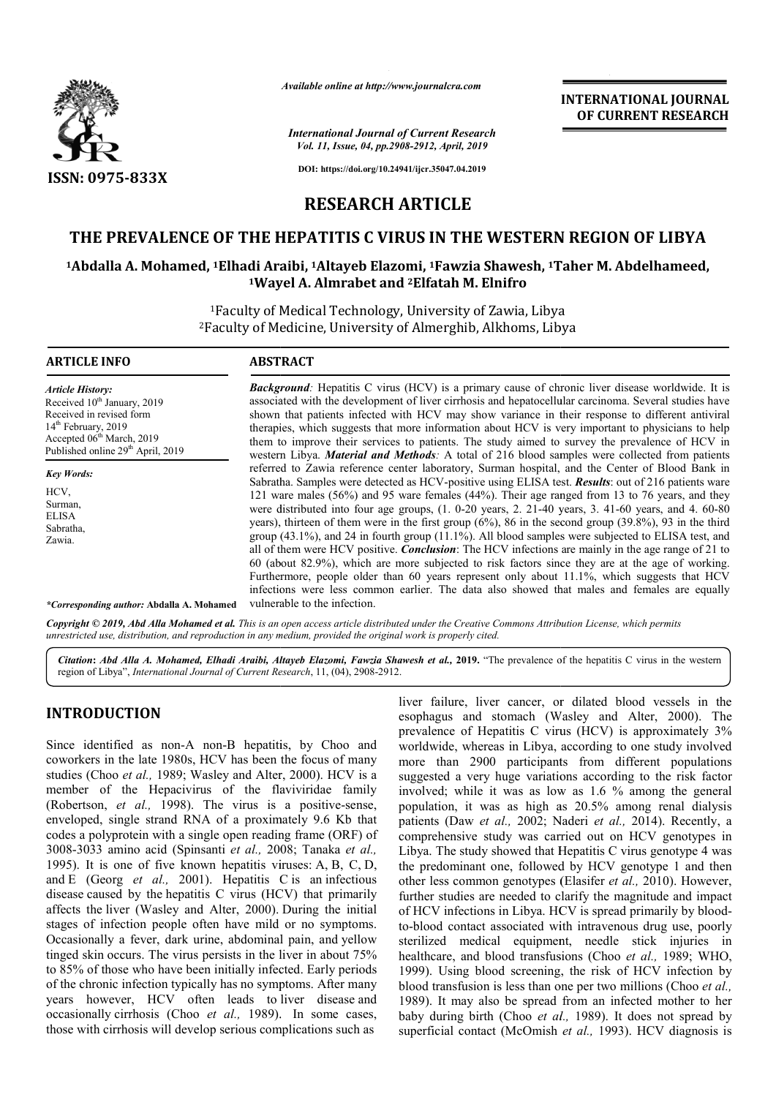

*Available online at http://www.journalcra.com*

*International Journal of Current Research Vol. 11, Issue, 04, pp.2908-2912, April, 2019*

**INTERNATIONAL JOURNAL OF CURRENT RESEARCH**

**DOI: https://doi.org/10.24941/ijcr.35047.04.2019**

### **RESEARCH ARTICLE**

## **THE PREVALENCE OF THE HEPATITIS C VIRUS IN THE WESTERN REGION OF LIBYA THE PREVALENCE OF THE HEPATITIS C VIRUS IN THE WESTERN REGION OF LIBYA**<br><sup>1</sup>Abdalla A. Mohamed, <sup>1</sup>Elhadi Araibi, <sup>1</sup>Altayeb Elazomi, <sup>1</sup>Fawzia Shawesh, <sup>1</sup>Taher M. Abdelhameed,

# **1Wayel A. Almrabet and Wayel 2Elfatah M. Elnifro**

<sup>1</sup>Faculty of Medical Technology, University of Zawia, Libya <sup>1</sup>Faculty of Medical Technology, University of Zawia, Libya<br><sup>2</sup>Faculty of Medicine, University of Almerghib, Alkhoms, Libya

| <b>ARTICLE INFO</b>                                                                                                                                                                                               | <b>ABSTRACT</b>                                                                                                                                                                                                                                                                                                                                                                                                                                                                                                                                                                                                                                                                                                                                                                                                                                                                                                                                                                                                                                                                                                                                                                                                                                                                                                                                                                                                                                                                                                                                                                                                                                                                                            |
|-------------------------------------------------------------------------------------------------------------------------------------------------------------------------------------------------------------------|------------------------------------------------------------------------------------------------------------------------------------------------------------------------------------------------------------------------------------------------------------------------------------------------------------------------------------------------------------------------------------------------------------------------------------------------------------------------------------------------------------------------------------------------------------------------------------------------------------------------------------------------------------------------------------------------------------------------------------------------------------------------------------------------------------------------------------------------------------------------------------------------------------------------------------------------------------------------------------------------------------------------------------------------------------------------------------------------------------------------------------------------------------------------------------------------------------------------------------------------------------------------------------------------------------------------------------------------------------------------------------------------------------------------------------------------------------------------------------------------------------------------------------------------------------------------------------------------------------------------------------------------------------------------------------------------------------|
| <b>Article History:</b><br>Received 10 <sup>th</sup> January, 2019<br>Received in revised form<br>$14th$ February, 2019<br>Accepted 06 <sup>th</sup> March, 2019<br>Published online 29 <sup>th</sup> April, 2019 | <b>Background</b> : Hepatitis C virus (HCV) is a primary cause of chronic liver disease worldwide. It is<br>associated with the development of liver cirrhosis and hepatocellular carcinoma. Several studies have<br>shown that patients infected with HCV may show variance in their response to different antiviral<br>therapies, which suggests that more information about HCV is very important to physicians to help<br>them to improve their services to patients. The study aimed to survey the prevalence of HCV in<br>western Libya. <i>Material and Methods</i> : A total of 216 blood samples were collected from patients<br>referred to Zawia reference center laboratory, Surman hospital, and the Center of Blood Bank in<br>Sabratha. Samples were detected as HCV-positive using ELISA test. Results: out of 216 patients ware<br>121 ware males (56%) and 95 ware females (44%). Their age ranged from 13 to 76 years, and they<br>were distributed into four age groups, (1. 0-20 years, 2. 21-40 years, 3. 41-60 years, and 4. 60-80<br>years), thirteen of them were in the first group $(6\%)$ , 86 in the second group $(39.8\%)$ , 93 in the third<br>group $(43.1\%)$ , and 24 in fourth group $(11.1\%)$ . All blood samples were subjected to ELISA test, and<br>all of them were HCV positive. <i>Conclusion</i> : The HCV infections are mainly in the age range of 21 to<br>60 (about 82.9%), which are more subjected to risk factors since they are at the age of working.<br>Furthermore, people older than 60 years represent only about 11.1%, which suggests that HCV<br>infections were less common earlier. The data also showed that males and females are equally |
| <b>Key Words:</b><br>HCV.<br>Surman.<br><b>ELISA</b><br>Sabratha,<br>Zawia.                                                                                                                                       |                                                                                                                                                                                                                                                                                                                                                                                                                                                                                                                                                                                                                                                                                                                                                                                                                                                                                                                                                                                                                                                                                                                                                                                                                                                                                                                                                                                                                                                                                                                                                                                                                                                                                                            |
| <i>*Corresponding author: Abdalla A. Mohamed</i>                                                                                                                                                                  | vulnerable to the infection.                                                                                                                                                                                                                                                                                                                                                                                                                                                                                                                                                                                                                                                                                                                                                                                                                                                                                                                                                                                                                                                                                                                                                                                                                                                                                                                                                                                                                                                                                                                                                                                                                                                                               |

Copyright © 2019, Abd Alla Mohamed et al. This is an open access article distributed under the Creative Commons Attribution License, which permits *unrestricted use, distribution, and reproduction in any medium, provided the original work is properly cited.*

Citation: Abd Alla A. Mohamed, Elhadi Araibi, Altayeb Elazomi, Fawzia Shawesh et al., 2019. "The prevalence of the hepatitis C virus in the western region of Libya", *International Journal of Current Research* , 11, (04), 2908-2912.

#### **INTRODUCTION**

Since identified as non-A non-B hepatitis, by Choo and coworkers in the late 1980s, HCV has been the focus of many Since identified as non-A non-B hepatitis, by Choo and coworkers in the late 1980s, HCV has been the focus of many studies (Choo *et al.*, 1989; Wasley and Alter, 2000). HCV is a member of the Hepacivirus of the flaviviridae family (Robertson, *et al.*, 1998). The virus is a positive-sense, enveloped, single strand RNA of a proximately 9.6 Kb that codes a polyprotein with a single open reading frame (ORF) of 3008-3033 amino acid (Spinsanti *et al.,* 2008 2008; Tanaka *et al.,*  1995). It is one of five known hepatitis viruses: A, B, C, D, and E (Georg *et al.,* 2001). Hepatitis C is an infectious disease caused by the hepatitis C virus (HCV) that primarily affects the liver (Wasley and Alter, 2000). During the initial stages of infection people often have mild or no symptoms. Occasionally a fever, dark urine, abdominal pain, and yellow tinged skin occurs. The virus persists in the liver in about 75% to 85% of those who have been initially infected. Early periods of the chronic infection typically has no symptoms. After many years however, HCV often leads to liver disease and occasionally cirrhosis (Choo *et al.*, 1989). In some cases, those with cirrhosis will develop serious complications such as

liver failure, liver cancer, or dilated blood vessels in the esophagus and stomach (Wasley and Alter, 2000). The prevalence of Hepatitis C virus (HCV) is approximately 3% worldwide, whereas in Libya, according to one study involved more than 2900 participants from different populations suggested a very huge variations according to the risk factor involved; while it was as low as 1.6 % among the general population, it was as high as 20.5% among renal dialysis patients (Daw *et al.,* 2002; Naderi *et al.,* 2014). Recently, a comprehensive study was carried out on HCV genotypes in comprehensive study was carried out on HCV genotypes in Libya. The study showed that Hepatitis C virus genotype 4 was the predominant one, followed by HCV genotype 1 and then other less common genotypes (Elasifer *et al.,* 2010). However, further studies are needed to clarify the magnitude and impact further studies are needed to clarify the magnitude and impact<br>of HCV infections in Libya. HCV is spread primarily by bloodto-blood contact associated with intravenous drug use, poorly sterilized medical equipment, needle stick injuries in to-blood contact associated with intravenous drug use, poorly sterilized medical equipment, needle stick injuries in healthcare, and blood transfusions (Choo *et al.*, 1989; WHO, 1999). Using blood screening, the risk of HCV infection by 1999). Using blood screening, the risk of HCV infection by blood transfusion is less than one per two millions (Choo *et al.*, 1989). It may also be spread from an infected mother to her 1989). It may also be spread from an infected mother to her baby during birth (Choo *et al.*, 1989). It does not spread by superficial contact (McOmish *et al.,* 1993). HCV diagnosis is failure, liver cancer, or dilated blood vessels in the agus and stomach (Wasley and Alter, 2000). The lence of Hepatitis C virus (HCV) is approximately 3% wide, whereas in Libya, according to one study involved than 2900 p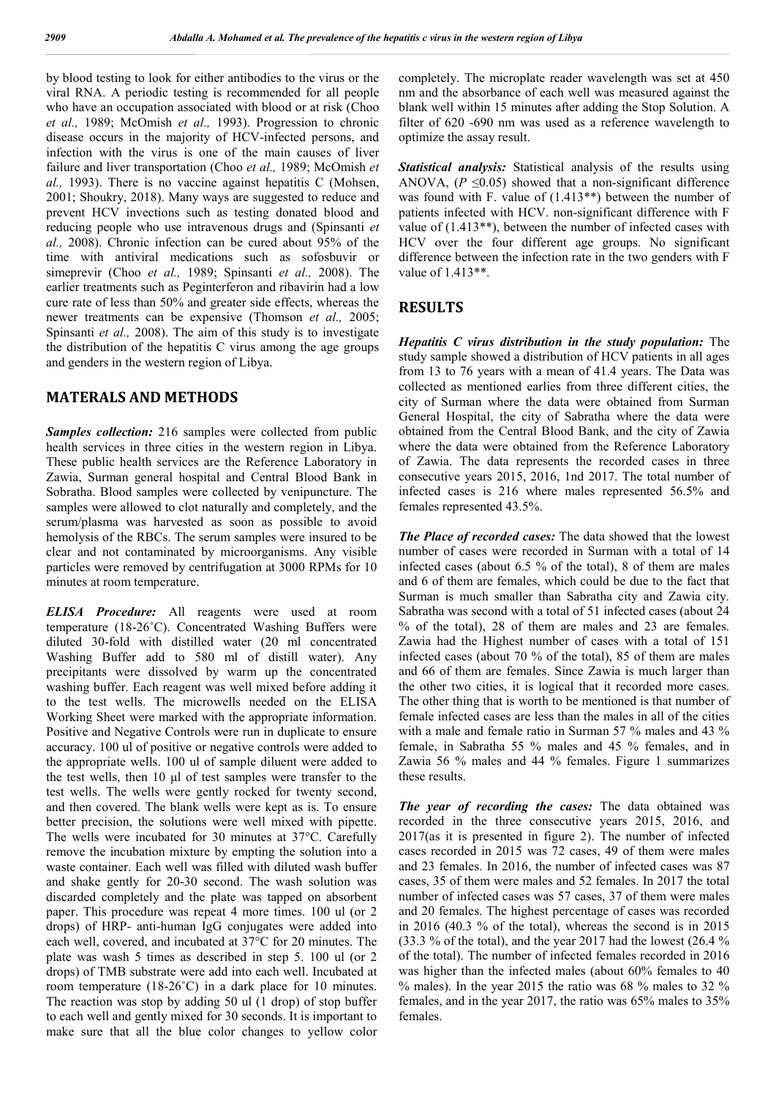by blood testing to look for either antibodies to the virus or the viral RNA. A periodic testing is recommended for all people who have an occupation associated with blood or at risk (Choo *et al.,* 1989; McOmish *et al.,* 1993). Progression to chronic disease occurs in the majority of HCV-infected persons, and infection with the virus is one of the main causes of liver failure and liver transportation (Choo *et al.,* 1989; McOmish *et al.,* 1993). There is no vaccine against hepatitis C (Mohsen, 2001; Shoukry, 2018). Many ways are suggested to reduce and prevent HCV invections such as testing donated blood and reducing people who use intravenous drugs and (Spinsanti *et al.,* 2008). Chronic infection can be cured about 95% of the time with antiviral medications such as sofosbuvir or simeprevir (Choo *et al.,* 1989; Spinsanti *et al.,* 2008). The earlier treatments such as Peginterferon and ribavirin had a low cure rate of less than 50% and greater side effects, whereas the newer treatments can be expensive (Thomson *et al.,* 2005; Spinsanti *et al.,* 2008). The aim of this study is to investigate the distribution of the hepatitis C virus among the age groups and genders in the western region of Libya.

#### **MATERALS AND METHODS**

*Samples collection:* 216 samples were collected from public health services in three cities in the western region in Libya. These public health services are the Reference Laboratory in Zawia, Surman general hospital and Central Blood Bank in Sobratha. Blood samples were collected by venipuncture. The samples were allowed to clot naturally and completely, and the serum/plasma was harvested as soon as possible to avoid hemolysis of the RBCs. The serum samples were insured to be clear and not contaminated by microorganisms. Any visible particles were removed by centrifugation at 3000 RPMs for 10 minutes at room temperature.

*ELISA Procedure:* All reagents were used at room temperature (18-26˚C). Concentrated Washing Buffers were diluted 30-fold with distilled water (20 ml concentrated Washing Buffer add to 580 ml of distill water). Any precipitants were dissolved by warm up the concentrated washing buffer. Each reagent was well mixed before adding it to the test wells. The microwells needed on the ELISA Working Sheet were marked with the appropriate information. Positive and Negative Controls were run in duplicate to ensure accuracy. 100 ul of positive or negative controls were added to the appropriate wells. 100 ul of sample diluent were added to the test wells, then 10 μl of test samples were transfer to the test wells. The wells were gently rocked for twenty second, and then covered. The blank wells were kept as is. To ensure better precision, the solutions were well mixed with pipette. The wells were incubated for 30 minutes at 37°C. Carefully remove the incubation mixture by empting the solution into a waste container. Each well was filled with diluted wash buffer and shake gently for 20-30 second. The wash solution was discarded completely and the plate was tapped on absorbent paper. This procedure was repeat 4 more times. 100 ul (or 2 drops) of HRP- anti-human IgG conjugates were added into each well, covered, and incubated at 37°C for 20 minutes. The plate was wash 5 times as described in step 5. 100 ul (or 2 drops) of TMB substrate were add into each well. Incubated at room temperature (18-26˚C) in a dark place for 10 minutes. The reaction was stop by adding 50 ul (1 drop) of stop buffer to each well and gently mixed for 30 seconds. It is important to make sure that all the blue color changes to yellow color

completely. The microplate reader wavelength was set at 450 nm and the absorbance of each well was measured against the blank well within 15 minutes after adding the Stop Solution. A filter of 620 -690 nm was used as a reference wavelength to optimize the assay result.

*Statistical analysis:* Statistical analysis of the results using ANOVA,  $(P \le 0.05)$  showed that a non-significant difference was found with F. value of (1.413\*\*) between the number of patients infected with HCV. non-significant difference with F value of (1.413\*\*), between the number of infected cases with HCV over the four different age groups. No significant difference between the infection rate in the two genders with F value of 1.413\*\*.

#### **RESULTS**

*Hepatitis C virus distribution in the study population:* The study sample showed a distribution of HCV patients in all ages from 13 to 76 years with a mean of 41.4 years. The Data was collected as mentioned earlies from three different cities, the city of Surman where the data were obtained from Surman General Hospital, the city of Sabratha where the data were obtained from the Central Blood Bank, and the city of Zawia where the data were obtained from the Reference Laboratory of Zawia. The data represents the recorded cases in three consecutive years 2015, 2016, 1nd 2017. The total number of infected cases is 216 where males represented 56.5% and females represented 43.5%.

*The Place of recorded cases:* The data showed that the lowest number of cases were recorded in Surman with a total of 14 infected cases (about 6.5 % of the total), 8 of them are males and 6 of them are females, which could be due to the fact that Surman is much smaller than Sabratha city and Zawia city. Sabratha was second with a total of 51 infected cases (about 24 % of the total), 28 of them are males and 23 are females. Zawia had the Highest number of cases with a total of 151 infected cases (about 70 % of the total), 85 of them are males and 66 of them are females. Since Zawia is much larger than the other two cities, it is logical that it recorded more cases. The other thing that is worth to be mentioned is that number of female infected cases are less than the males in all of the cities with a male and female ratio in Surman 57 % males and 43 % female, in Sabratha 55 % males and 45 % females, and in Zawia 56 % males and 44 % females. Figure 1 summarizes these results.

*The year of recording the cases:* The data obtained was recorded in the three consecutive years 2015, 2016, and 2017(as it is presented in figure 2). The number of infected cases recorded in 2015 was 72 cases, 49 of them were males and 23 females. In 2016, the number of infected cases was 87 cases, 35 of them were males and 52 females. In 2017 the total number of infected cases was 57 cases, 37 of them were males and 20 females. The highest percentage of cases was recorded in 2016 (40.3 % of the total), whereas the second is in 2015 (33.3 % of the total), and the year 2017 had the lowest (26.4 % of the total). The number of infected females recorded in 2016 was higher than the infected males (about 60% females to 40 % males). In the year 2015 the ratio was 68 % males to 32 % females, and in the year 2017, the ratio was 65% males to 35% females.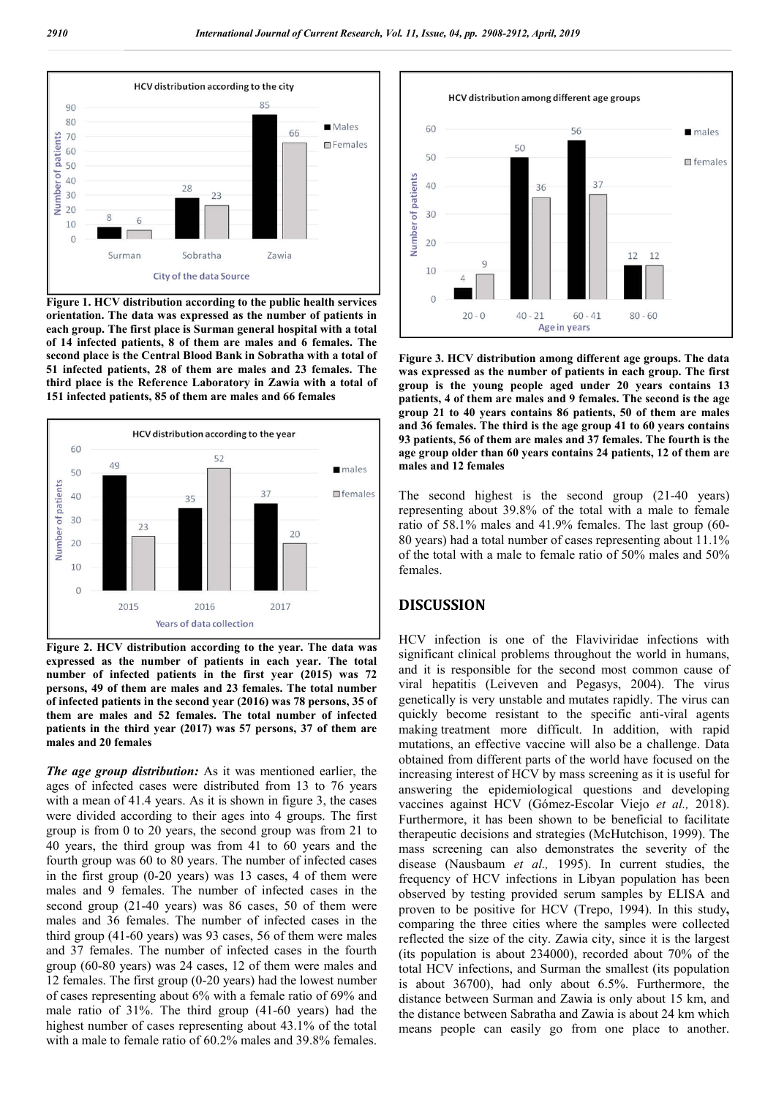

**Figure 1. HCV distribution according to the public health services orientation. The data was expressed as the number of patients in each group. The first place is Surman general hospital with a total of 14 infected patients, 8 of them are males and 6 females. The second place is the Central Blood Bank in Sobratha with a total of 51 infected patients, 28 of them are males and 23 females. The third place is the Reference Laboratory in Zawia with a total of 151 infected patients, 85 of them are males and 66 females**



**Figure 2. HCV distribution according to the year. The data was expressed as the number of patients in each year. The total number of infected patients in the first year (2015) was 72 persons, 49 of them are males and 23 females. The total number of infected patients in the second year (2016) was 78 persons, 35 of them are males and 52 females. The total number of infected patients in the third year (2017) was 57 persons, 37 of them are males and 20 females**

*The age group distribution:* As it was mentioned earlier, the ages of infected cases were distributed from 13 to 76 years with a mean of 41.4 years. As it is shown in figure 3, the cases were divided according to their ages into 4 groups. The first group is from 0 to 20 years, the second group was from 21 to 40 years, the third group was from 41 to 60 years and the fourth group was 60 to 80 years. The number of infected cases in the first group (0-20 years) was 13 cases, 4 of them were males and 9 females. The number of infected cases in the second group (21-40 years) was 86 cases, 50 of them were males and 36 females. The number of infected cases in the third group (41-60 years) was 93 cases, 56 of them were males and 37 females. The number of infected cases in the fourth group (60-80 years) was 24 cases, 12 of them were males and 12 females. The first group (0-20 years) had the lowest number of cases representing about 6% with a female ratio of 69% and male ratio of 31%. The third group (41-60 years) had the highest number of cases representing about 43.1% of the total with a male to female ratio of 60.2% males and 39.8% females.



**Figure 3. HCV distribution among different age groups. The data was expressed as the number of patients in each group. The first group is the young people aged under 20 years contains 13 patients, 4 of them are males and 9 females. The second is the age group 21 to 40 years contains 86 patients, 50 of them are males and 36 females. The third is the age group 41 to 60 years contains 93 patients, 56 of them are males and 37 females. The fourth is the age group older than 60 years contains 24 patients, 12 of them are males and 12 females**

The second highest is the second group (21-40 years) representing about 39.8% of the total with a male to female ratio of 58.1% males and 41.9% females. The last group (60- 80 years) had a total number of cases representing about 11.1% of the total with a male to female ratio of 50% males and 50% females.

#### **DISCUSSION**

HCV infection is one of the Flaviviridae infections with significant clinical problems throughout the world in humans, and it is responsible for the second most common cause of viral hepatitis (Leiveven and Pegasys, 2004). The virus genetically is very unstable and mutates rapidly. The virus can quickly become resistant to the specific anti-viral agents making treatment more difficult. In addition, with rapid mutations, an effective vaccine will also be a challenge. Data obtained from different parts of the world have focused on the increasing interest of HCV by mass screening as it is useful for answering the epidemiological questions and developing vaccines against HCV (Gómez-Escolar Viejo *et al.,* 2018). Furthermore, it has been shown to be beneficial to facilitate therapeutic decisions and strategies (McHutchison, 1999). The mass screening can also demonstrates the severity of the disease (Nausbaum *et al.,* 1995). In current studies, the frequency of HCV infections in Libyan population has been observed by testing provided serum samples by ELISA and proven to be positive for HCV (Trepo, 1994). In this study**,**  comparing the three cities where the samples were collected reflected the size of the city. Zawia city, since it is the largest (its population is about 234000), recorded about 70% of the total HCV infections, and Surman the smallest (its population is about 36700), had only about 6.5%. Furthermore, the distance between Surman and Zawia is only about 15 km, and the distance between Sabratha and Zawia is about 24 km which means people can easily go from one place to another.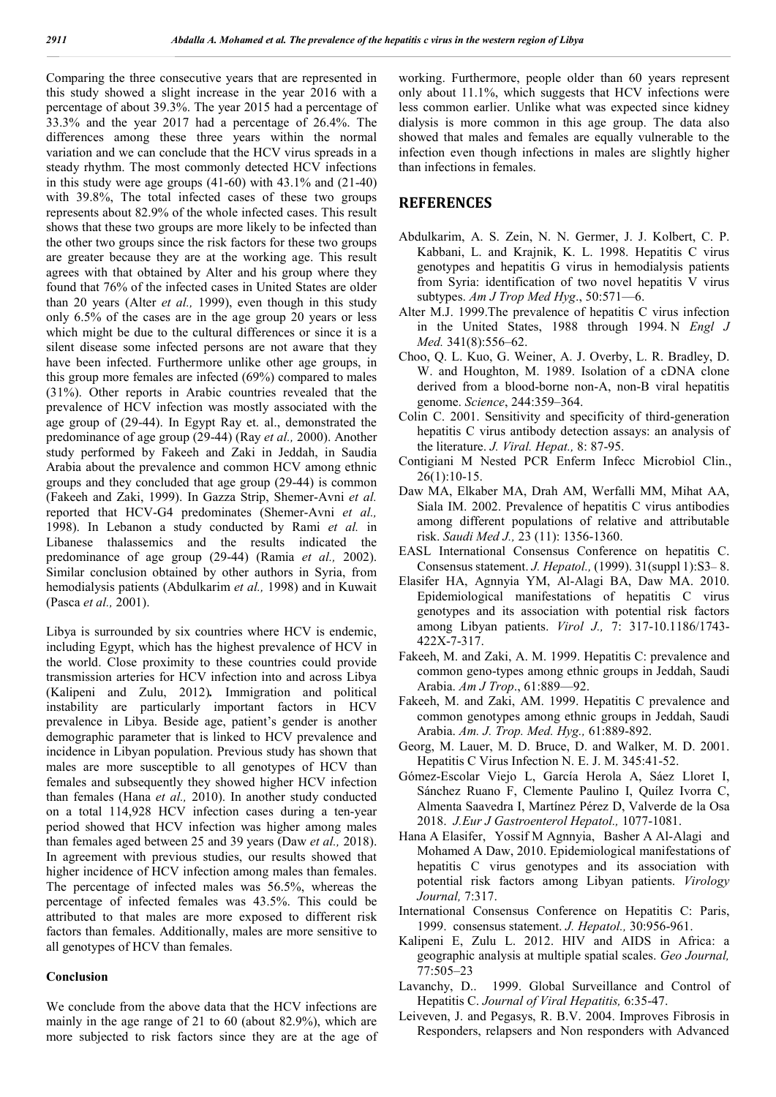Comparing the three consecutive years that are represented in this study showed a slight increase in the year 2016 with a percentage of about 39.3%. The year 2015 had a percentage of 33.3% and the year 2017 had a percentage of 26.4%. The differences among these three years within the normal variation and we can conclude that the HCV virus spreads in a steady rhythm. The most commonly detected HCV infections in this study were age groups  $(41-60)$  with  $43.1\%$  and  $(21-40)$ with 39.8%. The total infected cases of these two groups represents about 82.9% of the whole infected cases. This result shows that these two groups are more likely to be infected than the other two groups since the risk factors for these two groups are greater because they are at the working age. This result agrees with that obtained by Alter and his group where they found that 76% of the infected cases in United States are older than 20 years (Alter *et al.,* 1999), even though in this study only 6.5% of the cases are in the age group 20 years or less which might be due to the cultural differences or since it is a silent disease some infected persons are not aware that they have been infected. Furthermore unlike other age groups, in this group more females are infected (69%) compared to males (31%). Other reports in Arabic countries revealed that the prevalence of HCV infection was mostly associated with the age group of (29-44). In Egypt Ray et. al., demonstrated the predominance of age group (29-44) (Ray *et al.,* 2000). Another study performed by Fakeeh and Zaki in Jeddah, in Saudia Arabia about the prevalence and common HCV among ethnic groups and they concluded that age group (29-44) is common (Fakeeh and Zaki, 1999). In Gazza Strip, Shemer-Avni *et al.*  reported that HCV-G4 predominates (Shemer-Avni *et al.,*  1998). In Lebanon a study conducted by Rami *et al.* in Libanese thalassemics and the results indicated the predominance of age group (29-44) (Ramia *et al.,* 2002). Similar conclusion obtained by other authors in Syria, from hemodialysis patients (Abdulkarim *et al.,* 1998) and in Kuwait (Pasca *et al.,* 2001).

Libya is surrounded by six countries where HCV is endemic, including Egypt, which has the highest prevalence of HCV in the world. Close proximity to these countries could provide transmission arteries for HCV infection into and across Libya (Kalipeni and Zulu, 2012)*.* Immigration and political instability are particularly important factors in HCV prevalence in Libya. Beside age, patient's gender is another demographic parameter that is linked to HCV prevalence and incidence in Libyan population. Previous study has shown that males are more susceptible to all genotypes of HCV than females and subsequently they showed higher HCV infection than females (Hana *et al.,* 2010). In another study conducted on a total 114,928 HCV infection cases during a ten-year period showed that HCV infection was higher among males than females aged between 25 and 39 years (Daw *et al.,* 2018). In agreement with previous studies, our results showed that higher incidence of HCV infection among males than females. The percentage of infected males was 56.5%, whereas the percentage of infected females was 43.5%. This could be attributed to that males are more exposed to different risk factors than females. Additionally, males are more sensitive to all genotypes of HCV than females.

#### **Conclusion**

We conclude from the above data that the HCV infections are mainly in the age range of 21 to 60 (about 82.9%), which are more subjected to risk factors since they are at the age of working. Furthermore, people older than 60 years represent only about 11.1%, which suggests that HCV infections were less common earlier. Unlike what was expected since kidney dialysis is more common in this age group. The data also showed that males and females are equally vulnerable to the infection even though infections in males are slightly higher than infections in females.

#### **REFERENCES**

- Abdulkarim, A. S. Zein, N. N. Germer, J. J. Kolbert, C. P. Kabbani, L. and Krajnik, K. L. 1998. Hepatitis C virus genotypes and hepatitis G virus in hemodialysis patients from Syria: identification of two novel hepatitis V virus subtypes. *Am J Trop Med Hyg*., 50:571—6.
- Alter M.J. 1999.The prevalence of hepatitis C virus infection in the United States, 1988 through 1994. N *Engl J Med.* 341(8):556–62.
- Choo, Q. L. Kuo, G. Weiner, A. J. Overby, L. R. Bradley, D. W. and Houghton, M. 1989. Isolation of a cDNA clone derived from a blood-borne non-A, non-B viral hepatitis genome. *Science*, 244:359–364.
- Colin C. 2001. Sensitivity and specificity of third-generation hepatitis C virus antibody detection assays: an analysis of the literature. *J. Viral. Hepat.,* 8: 87-95.
- Contigiani M Nested PCR Enferm Infecc Microbiol Clin., 26(1):10-15.
- Daw MA, Elkaber MA, Drah AM, Werfalli MM, Mihat AA, Siala IM. 2002. Prevalence of hepatitis C virus antibodies among different populations of relative and attributable risk. *Saudi Med J.,* 23 (11): 1356-1360.
- EASL International Consensus Conference on hepatitis C. Consensus statement. *J. Hepatol.,* (1999). 31(suppl 1):S3– 8.
- Elasifer HA, Agnnyia YM, Al-Alagi BA, Daw MA. 2010. Epidemiological manifestations of hepatitis C virus genotypes and its association with potential risk factors among Libyan patients. *Virol J.,* 7: 317-10.1186/1743- 422X-7-317.
- Fakeeh, M. and Zaki, A. M. 1999. Hepatitis C: prevalence and common geno-types among ethnic groups in Jeddah, Saudi Arabia. *Am J Trop*., 61:889—92.
- Fakeeh, M. and Zaki, AM. 1999. Hepatitis C prevalence and common genotypes among ethnic groups in Jeddah, Saudi Arabia. *Am. J. Trop. Med. Hyg.,* 61:889-892.
- Georg, M. Lauer, M. D. Bruce, D. and Walker, M. D. 2001. Hepatitis C Virus Infection N. E. J. M. 345:41-52.
- Gómez-Escolar Viejo L, García Herola A, Sáez Lloret I, Sánchez Ruano F, Clemente Paulino I, Quílez Ivorra C, Almenta Saavedra I, Martínez Pérez D, Valverde de la Osa 2018. *J.Eur J Gastroenterol Hepatol.,* 1077-1081.
- Hana A Elasifer, Yossif M Agnnyia, Basher A Al-Alagi and Mohamed A Daw, 2010. Epidemiological manifestations of hepatitis C virus genotypes and its association with potential risk factors among Libyan patients. *Virology Journal,* 7:317.
- International Consensus Conference on Hepatitis C: Paris, 1999. consensus statement. *J. Hepatol.,* 30:956-961.
- Kalipeni E, Zulu L. 2012. HIV and AIDS in Africa: a geographic analysis at multiple spatial scales. *Geo Journal,* 77:505–23
- Lavanchy, D.. 1999. Global Surveillance and Control of Hepatitis C. *Journal of Viral Hepatitis,* 6:35-47.
- Leiveven, J. and Pegasys, R. B.V. 2004. Improves Fibrosis in Responders, relapsers and Non responders with Advanced